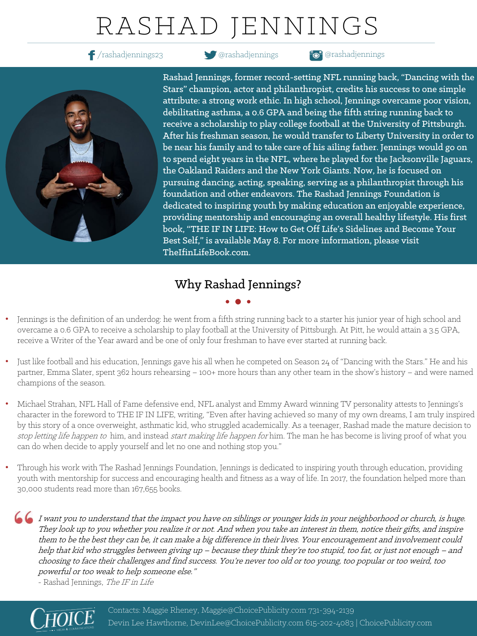# RASHAD JENNINGS

/rashadjennings23 @rashadjennings @rashadjennings



Rashad Jennings, former record-setting NFL running back, "Dancing with the Stars" champion, actor and philanthropist, credits his success to one simple attribute: a strong work ethic. In high school, Jennings overcame poor vision, debilitating asthma, a 0.6 GPA and being the fifth string running back to receive a scholarship to play college football at the University of Pittsburgh. After his freshman season, he would transfer to Liberty University in order to be near his family and to take care of his ailing father. Jennings would go on to spend eight years in the NFL, where he played for the Jacksonville Jaguars, the Oakland Raiders and the New York Giants. Now, he is focused on pursuing dancing, acting, speaking, serving as a philanthropist through his foundation and other endeavors. The Rashad Jennings Foundation is dedicated to inspiring youth by making education an enjoyable experience, providing mentorship and encouraging an overall healthy lifestyle. His first book, "THE IF IN LIFE: How to Get Off Life's Sidelines and Become Your Best Self," is available May 8. For more information, please visit TheIfinLifeBook.com.

### Why Rashad Jennings?

- Jennings is the definition of an underdog: he went from a fifth string running back to a starter his junior year of high school and overcame a 0.6 GPA to receive a scholarship to play football at the University of Pittsburgh. At Pitt, he would attain a 3.5 GPA, receive a Writer of the Year award and be one of only four freshman to have ever started at running back.
- Just like football and his education, Jennings gave his all when he competed on Season 24 of "Dancing with the Stars." He and his partner, Emma Slater, spent 362 hours rehearsing – 100+ more hours than any other team in the show's history – and were named champions of the season.
- Michael Strahan, NFL Hall of Fame defensive end, NFL analyst and Emmy Award winning TV personality attests to Jennings's character in the foreword to THE IF IN LIFE, writing, "Even after having achieved so many of my own dreams, I am truly inspired by this story of a once overweight, asthmatic kid, who struggled academically. As a teenager, Rashad made the mature decision to stop letting life happen to him, and instead start making life happen for him. The man he has become is living proof of what you can do when decide to apply yourself and let no one and nothing stop you."
- Through his work with The Rashad Jennings Foundation, Jennings is dedicated to inspiring youth through education, providing youth with mentorship for success and encouraging health and fitness as a way of life. In 2017, the foundation helped more than 30,000 students read more than 167,655 books.

I want you to understand that the impact you have on siblings or younger kids in your neighborhood or church, is huge. They look up to you whether you realize it or not. And when you take an interest in them, notice their gifts, and inspire them to be the best they can be, it can make a big difference in their lives. Your encouragement and involvement could help that kid who struggles between giving up – because they think they're too stupid, too fat, or just not enough – and choosing to face their challenges and find success. You're never too old or too young, too popular or too weird, too powerful or too weak to help someone else."

- Rashad Jennings, The IF in Life